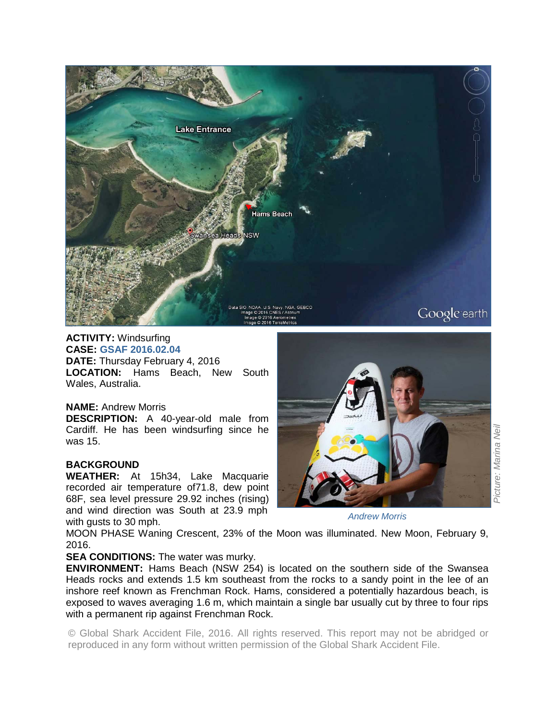

#### **ACTIVITY:** Windsurfing **CASE: GSAF 2016.02.04**

**DATE:** Thursday February 4, 2016 **LOCATION:** Hams Beach, New South Wales, Australia.

## **NAME:** Andrew Morris

**DESCRIPTION:** A 40-year-old male from Cardiff. He has been windsurfing since he was 15.

# **BACKGROUND**

**WEATHER:** At 15h34, Lake Macquarie recorded air temperature of71.8, dew point 68F, sea level pressure 29.92 inches (rising) and wind direction was South at 23.9 mph with gusts to 30 mph.



*Andrew Morris* 

MOON PHASE Waning Crescent, 23% of the Moon was illuminated. New Moon, February 9, 2016.

## **SEA CONDITIONS:** The water was murky.

**ENVIRONMENT:** Hams Beach (NSW 254) is located on the southern side of the Swansea Heads rocks and extends 1.5 km southeast from the rocks to a sandy point in the lee of an inshore reef known as Frenchman Rock. Hams, considered a potentially hazardous beach, is exposed to waves averaging 1.6 m, which maintain a single bar usually cut by three to four rips with a permanent rip against Frenchman Rock.

© Global Shark Accident File, 2016. All rights reserved. This report may not be abridged or reproduced in any form without written permission of the Global Shark Accident File.